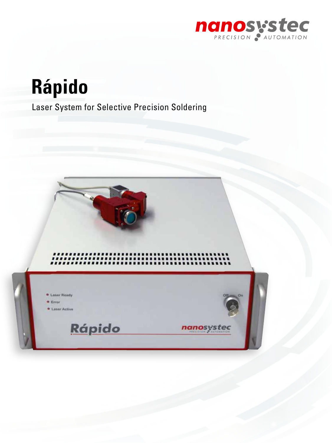

**Rápido**

Laser System for Selective Precision Soldering

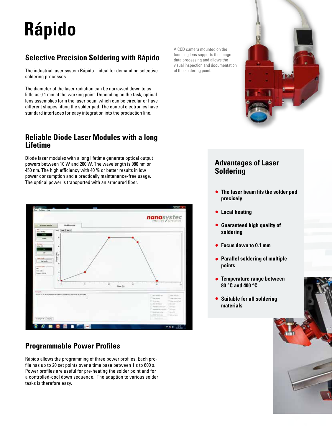# **Rápido**

# **Selective Precision Soldering with Rápido**

The industrial laser system Rápido – ideal for demanding selective soldering processes.

The diameter of the laser radiation can be narrowed down to as little as 0.1 mm at the working point. Depending on the task, optical lens assemblies form the laser beam which can be circular or have different shapes fitting the solder pad. The control electronics have standard interfaces for easy integration into the production line.

#### **Reliable Diode Laser Modules with a long Lifetime**

Diode laser modules with a long lifetime generate optical output powers between 10 W and 200 W. The wavelength is 980 nm or 450 nm. The high efficiency with 40 % or better results in low power consumption and a practically maintenance-free usage. The optical power is transported with an armoured fiber.



### **Programmable Power Profiles**

Rápido allows the programming of three power profiles. Each profile has up to 20 set points over a time base between 1 s to 600 s. Power profiles are useful for pre-heating the solder point and for a controlled-cool down sequence. The adaption to various solder tasks is therefore easy.

A CCD camera mounted on the focusing lens supports the image data processing and allows the visual inspection and documentation of the soldering point.



#### **Advantages of Laser Soldering**

- **The laser beam fits the solder pad precisely**
- **Local heating**
- **Guaranteed high quality of soldering**
- **Focus down to 0.1 mm**
- **Parallel soldering of multiple points**
- **Temperature range between 80 °C and 400 °C**
- **Suitable for all soldering materials**

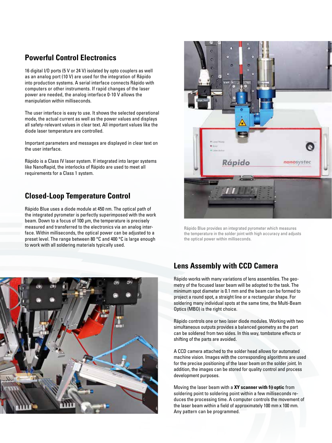#### **Powerful Control Electronics**

16 digital I/O ports (5 V or 24 V) isolated by opto couplers as well as an analog port (10 V) are used for the integration of Rápido into production systems. A serial interface connects Rápido with computers or other instruments. If rapid changes of the laser power are needed, the analog interface 0-10 V allows the manipulation within milliseconds.

The user interface is easy to use. It shows the selected operational mode, the actual current as well as the power values and displays all safety-relevant values in clear text. All important values like the diode laser temperature are controlled.

Important parameters and messages are displayed in clear text on the user interface.

Rápido is a Class IV laser system. If integrated into larger systems like NanoRapid, the interlocks of Rápido are used to meet all requirements for a Class 1 system.

#### **Closed-Loop Temperature Control**

Rápido Blue uses a diode module at 450 nm. The optical path of the integrated pyrometer is perfectly superimposed with the work beam. Down to a focus of 100 um, the temperature is precisely measured and transferred to the electronics via an analog interface. Within milliseconds, the optical power can be adjusted to a preset level. The range between 80 °C and 400 °C is large enough to work with all soldering materials typically used.





Rápido Blue provides an integrated pyrometer which measures the temperature in the solder joint with high accuracy and adjusts the optical power within milliseconds.

#### **Lens Assembly with CCD Camera**

Rápido works with many variations of lens assemblies. The geometry of the focused laser beam will be adopted to the task. The minimum spot diameter is 0.1 mm and the beam can be formed to project a round spot, a straight line or a rectangular shape. For soldering many individual spots at the same time, the Multi-Beam Optics (MBO) is the right choice.

Rápido controls one or two laser diode modules. Working with two simultaneous outputs provides a balanced geometry as the part can be soldered from two sides. In this way, tombstone effects or shifting of the parts are avoided.

A CCD camera attached to the solder head allows for automated machine vision. Images with the corresponding algorithms are used for the precise positioning of the laser beam on the solder joint. In addition, the images can be stored for quality control and process development purposes.

Moving the laser beam with a XY scanner with **f** $\theta$  optic from soldering point to soldering point within a few milliseconds reduces the processing time. A computer controls the movement of the laser beam within a field of approximately 100 mm x 100 mm. Any pattern can be programmed.